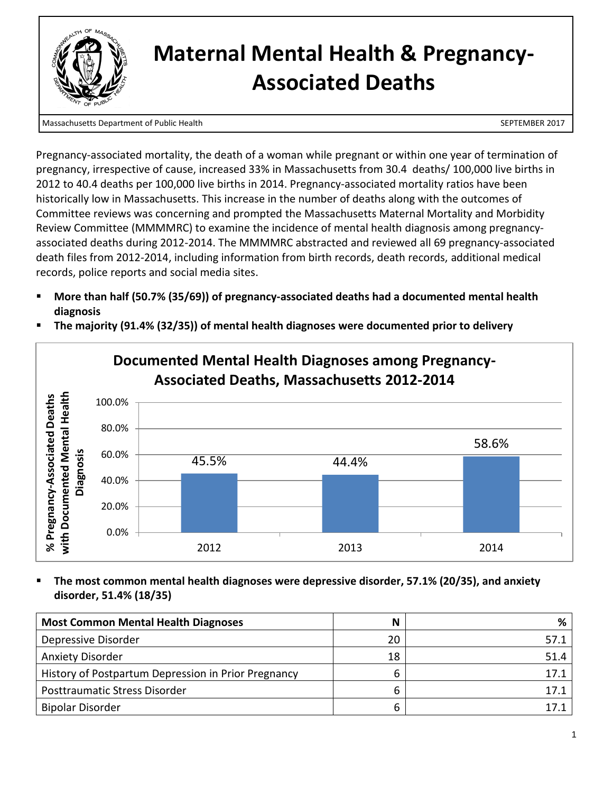

## **Maternal Mental Health & Pregnancy-Associated Deaths**

Massachusetts Department of Public Health SEPTEMBER 2017

Pregnancy-associated mortality, the death of a woman while pregnant or within one year of termination of pregnancy, irrespective of cause, increased 33% in Massachusetts from 30.4 deaths/ 100,000 live births in 2012 to 40.4 deaths per 100,000 live births in 2014. Pregnancy-associated mortality ratios have been historically low in Massachusetts. This increase in the number of deaths along with the outcomes of Committee reviews was concerning and prompted the Massachusetts Maternal Mortality and Morbidity Review Committee (MMMMRC) to examine the incidence of mental health diagnosis among pregnancyassociated deaths during 2012-2014. The MMMMRC abstracted and reviewed all 69 pregnancy-associated death files from 2012-2014, including information from birth records, death records, additional medical records, police reports and social media sites.

- **More than half (50.7% (35/69)) of pregnancy-associated deaths had a documented mental health diagnosis**
- **The majority (91.4% (32/35)) of mental health diagnoses were documented prior to delivery**



# **Documented Mental Health Diagnoses among Pregnancy-**

### **The most common mental health diagnoses were depressive disorder, 57.1% (20/35), and anxiety disorder, 51.4% (18/35)**

| <b>Most Common Mental Health Diagnoses</b>          | N  | %    |
|-----------------------------------------------------|----|------|
| Depressive Disorder                                 | 20 | 57.1 |
| <b>Anxiety Disorder</b>                             | 18 | 51.4 |
| History of Postpartum Depression in Prior Pregnancy | ь  | 17.1 |
| <b>Posttraumatic Stress Disorder</b>                | b  | 17.1 |
| <b>Bipolar Disorder</b>                             | b  |      |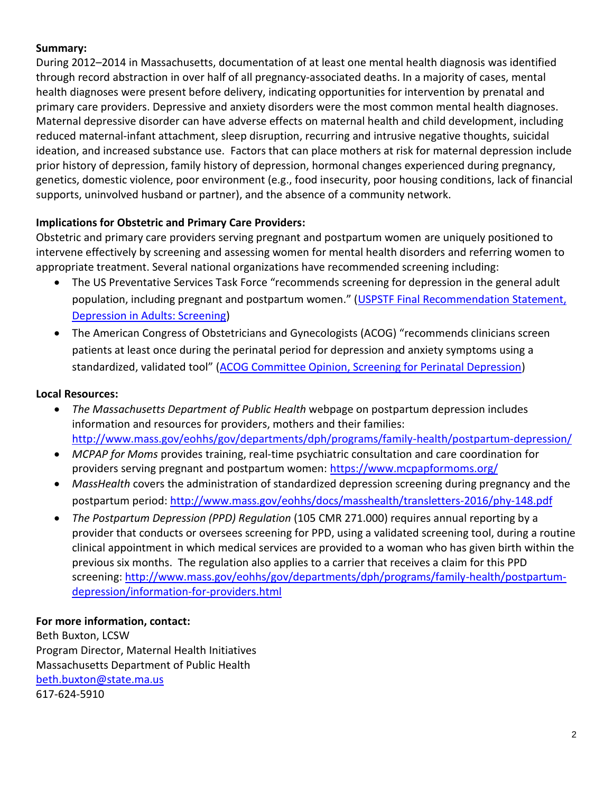## **Summary:**

During 2012–2014 in Massachusetts, documentation of at least one mental health diagnosis was identified through record abstraction in over half of all pregnancy-associated deaths. In a majority of cases, mental health diagnoses were present before delivery, indicating opportunities for intervention by prenatal and primary care providers. Depressive and anxiety disorders were the most common mental health diagnoses. Maternal depressive disorder can have adverse effects on maternal health and child development, including reduced maternal-infant attachment, sleep disruption, recurring and intrusive negative thoughts, suicidal ideation, and increased substance use. Factors that can place mothers at risk for maternal depression include prior history of depression, family history of depression, hormonal changes experienced during pregnancy, genetics, domestic violence, poor environment (e.g., food insecurity, poor housing conditions, lack of financial supports, uninvolved husband or partner), and the absence of a community network.

## **Implications for Obstetric and Primary Care Providers:**

Obstetric and primary care providers serving pregnant and postpartum women are uniquely positioned to intervene effectively by screening and assessing women for mental health disorders and referring women to appropriate treatment. Several national organizations have recommended screening including:

- The US Preventative Services Task Force "recommends screening for depression in the general adult population, including pregnant and postpartum women." ([USPSTF Final Recommendation Statement,](https://www.uspreventiveservicestaskforce.org/Page/Document/RecommendationStatementFinal/depression-in-adults-screening1)  [Depression in Adults: Screening\)](https://www.uspreventiveservicestaskforce.org/Page/Document/RecommendationStatementFinal/depression-in-adults-screening1)
- The American Congress of Obstetricians and Gynecologists (ACOG) "recommends clinicians screen patients at least once during the perinatal period for depression and anxiety symptoms using a standardized, validated tool" ([ACOG Committee Opinion, Screening for Perinatal Depression\)](http://www.acog.org/-/media/Committee-Opinions/Committee-on-Obstetric-Practice/co630.pdf?dmc=1&ts=20170410T1637227668)

## **Local Resources:**

- *The Massachusetts Department of Public Health* webpage on postpartum depression includes information and resources for providers, mothers and their families: <http://www.mass.gov/eohhs/gov/departments/dph/programs/family-health/postpartum-depression/>
- *MCPAP for Moms* provides training, real-time psychiatric consultation and care coordination for providers serving pregnant and postpartum women:<https://www.mcpapformoms.org/>
- *MassHealth* covers the administration of standardized depression screening during pregnancy and the postpartum period:<http://www.mass.gov/eohhs/docs/masshealth/transletters-2016/phy-148.pdf>
- *The Postpartum Depression (PPD) Regulation* (105 CMR 271.000) requires annual reporting by a provider that conducts or oversees screening for PPD, using a validated screening tool, during a routine clinical appointment in which medical services are provided to a woman who has given birth within the previous six months. The regulation also applies to a carrier that receives a claim for this PPD screening: [http://www.mass.gov/eohhs/gov/departments/dph/programs/family-health/postpartum](http://www.mass.gov/eohhs/gov/departments/dph/programs/family-health/postpartum-depression/information-for-providers.html)[depression/information-for-providers.html](http://www.mass.gov/eohhs/gov/departments/dph/programs/family-health/postpartum-depression/information-for-providers.html)

### **For more information, contact:**

Beth Buxton, LCSW Program Director, Maternal Health Initiatives Massachusetts Department of Public Health [beth.buxton@state.ma.us](mailto:beth.buxton@state.ma.us) 617-624-5910